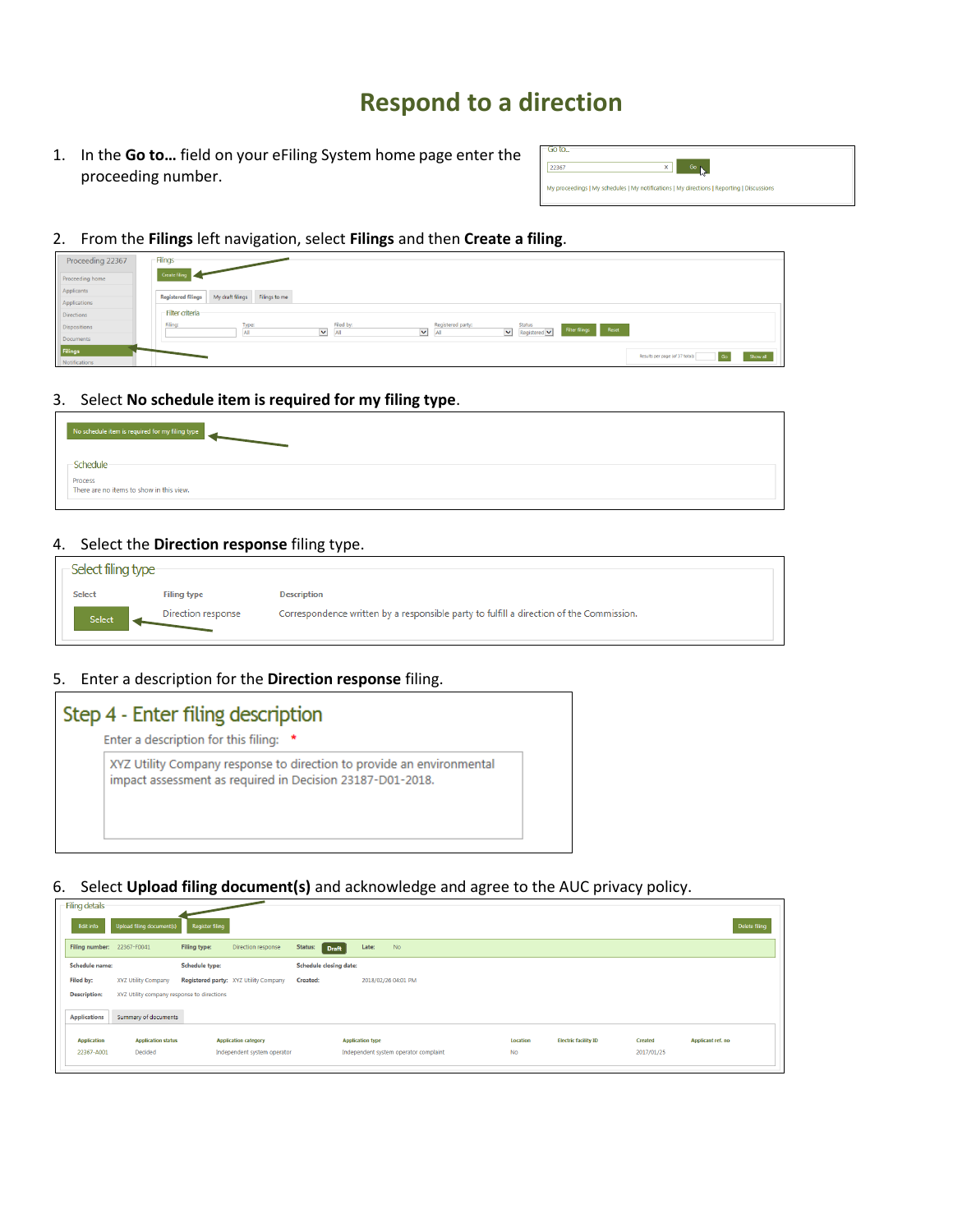# **Respond to a direction**

1. In the **Go to…** field on your eFiling System home page enter the proceeding number.

| 50 to |                                                                                            |
|-------|--------------------------------------------------------------------------------------------|
| 22367 |                                                                                            |
|       | My proceedings   My schedules   My notifications   My directions   Reporting   Discussions |
|       |                                                                                            |

2. From the **Filings** left navigation, select **Filings** and then **Create a filing**.

| Proceeding 22367 | - Filings                                                                                                                                                                                                                |
|------------------|--------------------------------------------------------------------------------------------------------------------------------------------------------------------------------------------------------------------------|
| Proceeding home  | Create fi                                                                                                                                                                                                                |
| Applicants       | My draft filings Filings to me<br><b>Registered filings</b>                                                                                                                                                              |
| Applications     |                                                                                                                                                                                                                          |
| Directions       | - Filter criteria                                                                                                                                                                                                        |
| Dispositions     | Filed by:<br>Registered party:<br>Filina:<br><b>Status</b><br>Type:<br>Filter filings Reset<br>$\vert \mathbf{v} \vert$ Registered $\vert \mathbf{v} \vert$<br>$\checkmark$<br>$\blacktriangledown$<br>All<br>All<br>All |
| Documents        |                                                                                                                                                                                                                          |
| Filings          | Results per page (of 37 total):<br>Show all<br>Go                                                                                                                                                                        |
| Notifications    |                                                                                                                                                                                                                          |

3. Select **No schedule item is required for my filing type**.

| No schedule item is required for my filing type     |  |
|-----------------------------------------------------|--|
| -Schedule                                           |  |
| Process<br>There are no items to show in this view. |  |

4. Select the **Direction response** filing type.

| -Select filing type- |                    |                                                                                         |
|----------------------|--------------------|-----------------------------------------------------------------------------------------|
| <b>Select</b>        | <b>Filing type</b> | <b>Description</b>                                                                      |
|                      |                    |                                                                                         |
| Select               | Direction response | Correspondence written by a responsible party to fulfill a direction of the Commission. |

5. Enter a description for the **Direction response** filing.

| Step 4 - Enter filing description |                                                                                                                                    |  |  |  |  |  |  |  |
|-----------------------------------|------------------------------------------------------------------------------------------------------------------------------------|--|--|--|--|--|--|--|
|                                   | Enter a description for this filing: *                                                                                             |  |  |  |  |  |  |  |
|                                   | XYZ Utility Company response to direction to provide an environmental<br>impact assessment as required in Decision 23187-D01-2018. |  |  |  |  |  |  |  |
|                                   |                                                                                                                                    |  |  |  |  |  |  |  |

6. Select **Upload filing document(s)** and acknowledge and agree to the AUC privacy policy.

| Filing details             |                                            |                        |                                       |                 |                               |                         |                                       |  |           |                             |            |                   |  |
|----------------------------|--------------------------------------------|------------------------|---------------------------------------|-----------------|-------------------------------|-------------------------|---------------------------------------|--|-----------|-----------------------------|------------|-------------------|--|
| Edit info                  | Upload filing document(s)                  | <b>Register filing</b> |                                       |                 |                               |                         |                                       |  |           |                             |            | Delete filing     |  |
| Filing number: 22367-F0041 |                                            | Filing type:           | Direction response                    | Status:         | Draft                         | Late:                   | <b>No</b>                             |  |           |                             |            |                   |  |
| <b>Schedule name:</b>      |                                            | <b>Schedule type:</b>  |                                       |                 | <b>Schedule closing date:</b> |                         |                                       |  |           |                             |            |                   |  |
| Filed by:                  | XYZ Utility Company                        |                        | Registered party: XYZ Utility Company | <b>Created:</b> |                               |                         | 2018/02/26 04:01 PM                   |  |           |                             |            |                   |  |
| <b>Description:</b>        | XYZ Utility company response to directions |                        |                                       |                 |                               |                         |                                       |  |           |                             |            |                   |  |
| <b>Applications</b>        | Summary of documents                       |                        |                                       |                 |                               |                         |                                       |  |           |                             |            |                   |  |
| <b>Application</b>         | <b>Application status</b>                  |                        | <b>Application category</b>           |                 |                               | <b>Application type</b> |                                       |  | Location  | <b>Electric facility ID</b> | Created    | Applicant ref. no |  |
| 22367-A001                 | Decided                                    |                        | Independent system operator           |                 |                               |                         | Independent system operator complaint |  | <b>No</b> |                             | 2017/01/25 |                   |  |
|                            |                                            |                        |                                       |                 |                               |                         |                                       |  |           |                             |            |                   |  |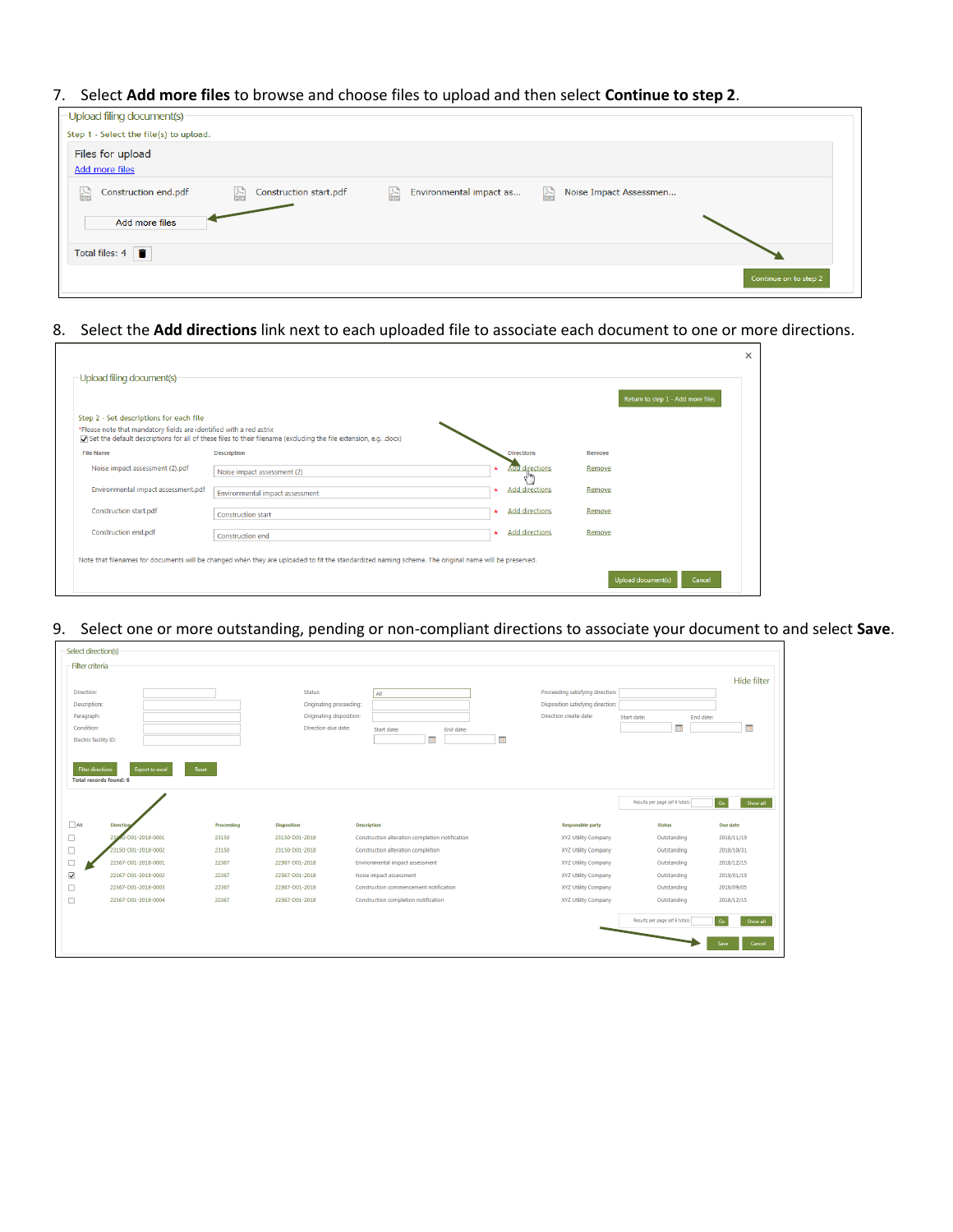### 7. Select **Add more files** to browse and choose files to upload and then select **Continue to step 2**.

| Upload filing document(s)                  |                             |                                         |                                        |                       |
|--------------------------------------------|-----------------------------|-----------------------------------------|----------------------------------------|-----------------------|
| Step 1 - Select the file(s) to upload.     |                             |                                         |                                        |                       |
| Files for upload                           |                             |                                         |                                        |                       |
| Add more files                             |                             |                                         |                                        |                       |
| Construction end.pdf<br>$\frac{1}{\log n}$ | Construction start.pdf<br>H | $\mathbb{R}$<br>Environmental impact as | Noise Impact Assessmen<br>$\mathbb{R}$ |                       |
| Add more files                             |                             |                                         |                                        |                       |
| Total files: $4 \overline{\bullet}$        |                             |                                         |                                        |                       |
|                                            |                             |                                         |                                        | Continue on to step 2 |

#### 8. Select the **Add directions** link next to each uploaded file to associate each document to one or more directions.

|                                                                     |                                                                                                                                                      |                                              |        | Return to step 1 - Add more files |
|---------------------------------------------------------------------|------------------------------------------------------------------------------------------------------------------------------------------------------|----------------------------------------------|--------|-----------------------------------|
| Step 2 - Set descriptions for each file                             |                                                                                                                                                      |                                              |        |                                   |
| *Please note that mandatory fields are identified with a red astrix | (docx). Do set the default descriptions for all of these files to their filename (excluding the file extension, e.g. .docx)                          |                                              |        |                                   |
| <b>File Name</b>                                                    | <b>Description</b>                                                                                                                                   | <b>Directions</b>                            | Remove |                                   |
| Noise impact assessment (2).pdf                                     | Noise impact assessment (2)                                                                                                                          | <b>Add directions</b><br>$\epsilon_{\rm ph}$ | Remove |                                   |
| Environmental impact assessment.pdf                                 | Environmental impact assessment                                                                                                                      | <b>Add directions</b>                        | Remove |                                   |
| Construction start.pdf                                              | <b>Construction start</b>                                                                                                                            | <b>Add directions</b><br>÷                   | Remove |                                   |
| Construction end.pdf                                                | Construction end                                                                                                                                     | <b>Add directions</b>                        | Remove |                                   |
|                                                                     | Note that filenames for documents will be changed when they are uploaded to fit the standardized naming scheme. The original name will be preserved. |                                              |        |                                   |

#### 9. Select one or more outstanding, pending or non-compliant directions to associate your document to and select **Save**.

| Select direction(s)      |                               |            |                                                 |                                                     |                                   |                                |                           |
|--------------------------|-------------------------------|------------|-------------------------------------------------|-----------------------------------------------------|-----------------------------------|--------------------------------|---------------------------|
| Filter criteria          |                               |            |                                                 |                                                     |                                   |                                |                           |
|                          |                               |            |                                                 |                                                     |                                   |                                | Hide filter               |
| Direction:               |                               |            | Status:                                         | All                                                 | Proceeding satisfying direction:  |                                |                           |
| Description:             |                               |            | Originating proceeding:                         |                                                     | Disposition satisfying direction: |                                |                           |
| Paragraph:<br>Condition: |                               |            | Originating disposition:<br>Direction due date: |                                                     | Direction create date:            | Start date:<br>End date:       |                           |
| Electric facility ID:    |                               |            |                                                 | Start date:<br>End date:<br>$\overline{\mathbf{u}}$ | $\mathbb{H}^{\mathfrak{g}}$       | HØ                             | $\mathbb{H}^{\mathsf{D}}$ |
|                          |                               |            |                                                 |                                                     |                                   |                                |                           |
|                          |                               |            |                                                 |                                                     |                                   |                                |                           |
| <b>Filter directions</b> | <b>Export to excel</b>        | Reset      |                                                 |                                                     |                                   |                                |                           |
|                          | <b>Total records found: 6</b> |            |                                                 |                                                     |                                   |                                |                           |
|                          |                               |            |                                                 |                                                     |                                   | Results per page (of 6 total): | Go<br>Show all            |
|                          |                               |            |                                                 |                                                     |                                   |                                |                           |
| $\Box$ All               | <b>Direction</b>              | Proceeding | <b>Disposition</b>                              | <b>Description</b>                                  | <b>Responsible party</b>          | <b>Status</b>                  | Due date                  |
| $\Box$                   | -D01-2018-0001<br>2314        | 23150      | 23150-D01-2018                                  | Construction alteration completion notification     | XYZ Utility Company               | Outstanding                    | 2018/11/19                |
| $\Box$                   | 23150-D01-2018-0002           | 23150      | 23150-D01-2018                                  | Construction alteration completion                  | XYZ Utility Company               | Outstanding                    | 2018/10/31                |
| $\Box$                   | 22367-D01-2018-0001           | 22367      | 22367-D01-2018                                  | Environmental impact assessment                     | XYZ Utility Company               | Outstanding                    | 2018/12/15                |
| $\blacktriangledown$     | 22367-D01-2018-0002           | 22367      | 22367-D01-2018                                  | Noise impact assessment                             | XYZ Utility Company               | Outstanding                    | 2019/01/19                |
| $\Box$                   | 22367-D01-2018-0003           | 22367      | 22367-D01-2018                                  | Construction commencement notification              | XYZ Utility Company               | Outstanding                    | 2018/09/05                |
| $\Box$                   | 22367-D01-2018-0004           | 22367      | 22367-D01-2018                                  | Construction completion notification                | XYZ Utility Company               | Outstanding                    | 2018/12/15                |
|                          |                               |            |                                                 |                                                     |                                   | Results per page (of 6 total): | Go<br>Show all            |
|                          |                               |            |                                                 |                                                     |                                   |                                |                           |
|                          |                               |            |                                                 |                                                     |                                   |                                | Cancel<br>Save            |
|                          |                               |            |                                                 |                                                     |                                   |                                |                           |